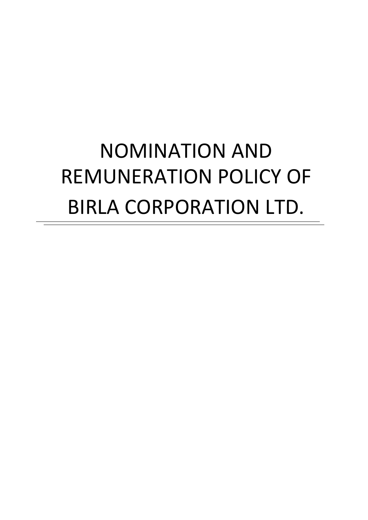# NOMINATION AND REMUNERATION POLICY OF BIRLA CORPORATION LTD.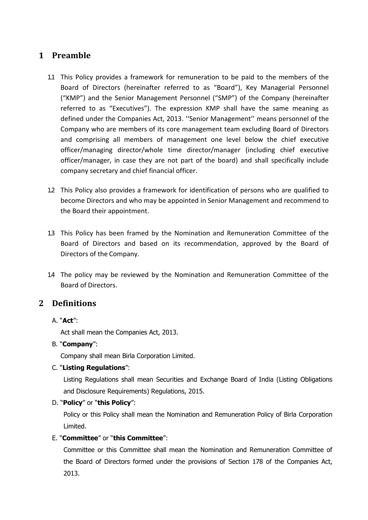# **1 Preamble**

- 1.1 This Policy provides a framework for remuneration to be paid to the members of the Board of Directors (hereinafter referred to as "Board"), Key Managerial Personnel ("KMP") and the Senior Management Personnel ("SMP") of the Company (hereinafter referred to as "Executives"). The expression KMP shall have the same meaning as defined under the Companies Act, 2013. ''Senior Management'' means personnel of the Company who are members of its core management team excluding Board of Directors and comprising all members of management one level below the chief executive officer/managing director/whole time director/manager (including chief executive officer/manager, in case they are not part of the board) and shall specifically include company secretary and chief financial officer.
- 1.2 This Policy also provides a framework for identification of persons who are qualified to become Directors and who may be appointed in Senior Management and recommend to the Board their appointment.
- 1.3 This Policy has been framed by the Nomination and Remuneration Committee of the Board of Directors and based on its recommendation, approved by the Board of Directors of the Company.
- 1.4 The policy may be reviewed by the Nomination and Remuneration Committee of the Board of Directors.

# **2 Definitions**

#### A. "**Act**":

Act shall mean the Companies Act, 2013.

#### B. "**Company**":

Company shall mean Birla Corporation Limited.

#### C. "**Listing Regulations**":

Listing Regulations shall mean Securities and Exchange Board of India (Listing Obligations and Disclosure Requirements) Regulations, 2015.

#### D. "**Policy**" or "**this Policy**":

Policy or this Policy shall mean the Nomination and Remuneration Policy of Birla Corporation Limited.

#### E. "**Committee**" or "**this Committee**":

Committee or this Committee shall mean the Nomination and Remuneration Committee of the Board of Directors formed under the provisions of Section 178 of the Companies Act, 2013.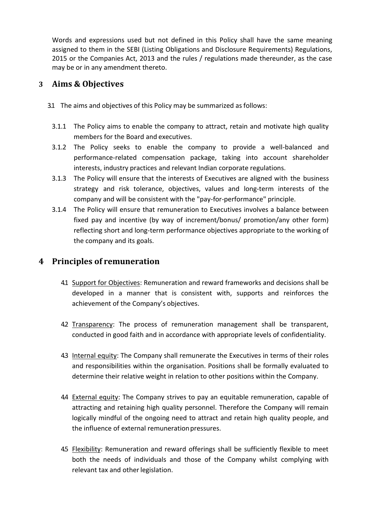Words and expressions used but not defined in this Policy shall have the same meaning assigned to them in the SEBI (Listing Obligations and Disclosure Requirements) Regulations, 2015 or the Companies Act, 2013 and the rules / regulations made thereunder, as the case may be or in any amendment thereto.

# **3 Aims & Objectives**

- 3.1 The aims and objectives of this Policy may be summarized as follows:
	- 3.1.1 The Policy aims to enable the company to attract, retain and motivate high quality members for the Board and executives.
	- 3.1.2 The Policy seeks to enable the company to provide a well-balanced and performance-related compensation package, taking into account shareholder interests, industry practices and relevant Indian corporate regulations.
	- 3.1.3 The Policy will ensure that the interests of Executives are aligned with the business strategy and risk tolerance, objectives, values and long-term interests of the company and will be consistent with the "pay-for-performance" principle.
	- 3.1.4 The Policy will ensure that remuneration to Executives involves a balance between fixed pay and incentive (by way of increment/bonus/ promotion/any other form) reflecting short and long-term performance objectives appropriate to the working of the company and its goals.

# **4 Principles of remuneration**

- 4.1 Support for Objectives: Remuneration and reward frameworks and decisions shall be developed in a manner that is consistent with, supports and reinforces the achievement of the Company's objectives.
- 4.2 Transparency: The process of remuneration management shall be transparent, conducted in good faith and in accordance with appropriate levels of confidentiality.
- 4.3 Internal equity: The Company shall remunerate the Executives in terms of their roles and responsibilities within the organisation. Positions shall be formally evaluated to determine their relative weight in relation to other positions within the Company.
- 4.4 External equity: The Company strives to pay an equitable remuneration, capable of attracting and retaining high quality personnel. Therefore the Company will remain logically mindful of the ongoing need to attract and retain high quality people, and the influence of external remuneration pressures.
- 45 Flexibility: Remuneration and reward offerings shall be sufficiently flexible to meet both the needs of individuals and those of the Company whilst complying with relevant tax and other legislation.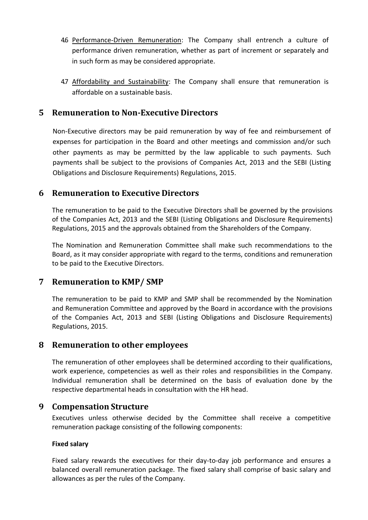- 4.6 Performance-Driven Remuneration: The Company shall entrench a culture of performance driven remuneration, whether as part of increment or separately and in such form as may be considered appropriate.
- 4.7 Affordability and Sustainability: The Company shall ensure that remuneration is affordable on a sustainable basis.

## **5 Remuneration to Non-Executive Directors**

Non-Executive directors may be paid remuneration by way of fee and reimbursement of expenses for participation in the Board and other meetings and commission and/or such other payments as may be permitted by the law applicable to such payments. Such payments shall be subject to the provisions of Companies Act, 2013 and the SEBI (Listing Obligations and Disclosure Requirements) Regulations, 2015.

## **6 Remuneration to Executive Directors**

The remuneration to be paid to the Executive Directors shall be governed by the provisions of the Companies Act, 2013 and the SEBI (Listing Obligations and Disclosure Requirements) Regulations, 2015 and the approvals obtained from the Shareholders of the Company.

The Nomination and Remuneration Committee shall make such recommendations to the Board, as it may consider appropriate with regard to the terms, conditions and remuneration to be paid to the Executive Directors.

## **7 Remuneration to KMP/ SMP**

The remuneration to be paid to KMP and SMP shall be recommended by the Nomination and Remuneration Committee and approved by the Board in accordance with the provisions of the Companies Act, 2013 and SEBI (Listing Obligations and Disclosure Requirements) Regulations, 2015.

## **8 Remuneration to other employees**

The remuneration of other employees shall be determined according to their qualifications, work experience, competencies as well as their roles and responsibilities in the Company. Individual remuneration shall be determined on the basis of evaluation done by the respective departmental heads in consultation with the HR head.

## **9 Compensation Structure**

Executives unless otherwise decided by the Committee shall receive a competitive remuneration package consisting of the following components:

#### **Fixed salary**

Fixed salary rewards the executives for their day-to-day job performance and ensures a balanced overall remuneration package. The fixed salary shall comprise of basic salary and allowances as per the rules of the Company.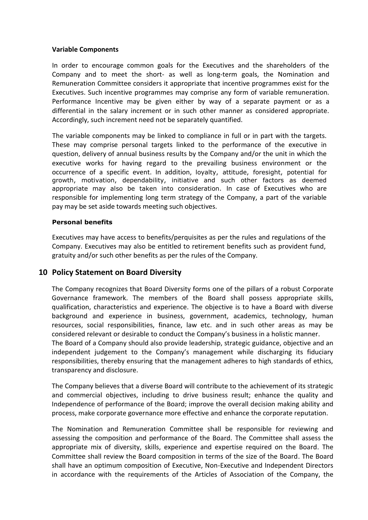#### **Variable Components**

In order to encourage common goals for the Executives and the shareholders of the Company and to meet the short- as well as long-term goals, the Nomination and Remuneration Committee considers it appropriate that incentive programmes exist for the Executives. Such incentive programmes may comprise any form of variable remuneration. Performance Incentive may be given either by way of a separate payment or as a differential in the salary increment or in such other manner as considered appropriate. Accordingly, such increment need not be separately quantified.

The variable components may be linked to compliance in full or in part with the targets. These may comprise personal targets linked to the performance of the executive in question, delivery of annual business results by the Company and/or the unit in which the executive works for having regard to the prevailing business environment or the occurrence of a specific event. In addition, loyalty, attitude, foresight, potential for growth, motivation, dependability, initiative and such other factors as deemed appropriate may also be taken into consideration. In case of Executives who are responsible for implementing long term strategy of the Company, a part of the variable pay may be set aside towards meeting such objectives.

#### **Personal benefits**

Executives may have access to benefits/perquisites as per the rules and regulations of the Company. Executives may also be entitled to retirement benefits such as provident fund, gratuity and/or such other benefits as per the rules of the Company.

#### **10 Policy Statement on Board Diversity**

The Company recognizes that Board Diversity forms one of the pillars of a robust Corporate Governance framework. The members of the Board shall possess appropriate skills, qualification, characteristics and experience. The objective is to have a Board with diverse background and experience in business, government, academics, technology, human resources, social responsibilities, finance, law etc. and in such other areas as may be considered relevant or desirable to conduct the Company's business in a holistic manner. The Board of a Company should also provide leadership, strategic guidance, objective and an independent judgement to the Company's management while discharging its fiduciary responsibilities, thereby ensuring that the management adheres to high standards of ethics, transparency and disclosure.

The Company believes that a diverse Board will contribute to the achievement of its strategic and commercial objectives, including to drive business result; enhance the quality and Independence of performance of the Board; improve the overall decision making ability and process, make corporate governance more effective and enhance the corporate reputation.

The Nomination and Remuneration Committee shall be responsible for reviewing and assessing the composition and performance of the Board. The Committee shall assess the appropriate mix of diversity, skills, experience and expertise required on the Board. The Committee shall review the Board composition in terms of the size of the Board. The Board shall have an optimum composition of Executive, Non-Executive and Independent Directors in accordance with the requirements of the Articles of Association of the Company, the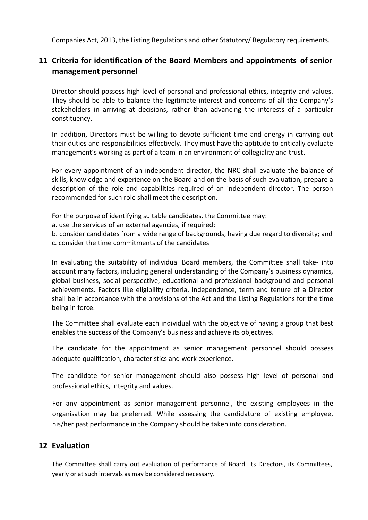Companies Act, 2013, the Listing Regulations and other Statutory/ Regulatory requirements.

# **11 Criteria for identification of the Board Members and appointments of senior management personnel**

Director should possess high level of personal and professional ethics, integrity and values. They should be able to balance the legitimate interest and concerns of all the Company's stakeholders in arriving at decisions, rather than advancing the interests of a particular constituency.

In addition, Directors must be willing to devote sufficient time and energy in carrying out their duties and responsibilities effectively. They must have the aptitude to critically evaluate management's working as part of a team in an environment of collegiality and trust.

For every appointment of an independent director, the NRC shall evaluate the balance of skills, knowledge and experience on the Board and on the basis of such evaluation, prepare a description of the role and capabilities required of an independent director. The person recommended for such role shall meet the description.

For the purpose of identifying suitable candidates, the Committee may:

a. use the services of an external agencies, if required;

b. consider candidates from a wide range of backgrounds, having due regard to diversity; and c. consider the time commitments of the candidates

In evaluating the suitability of individual Board members, the Committee shall take- into account many factors, including general understanding of the Company's business dynamics, global business, social perspective, educational and professional background and personal achievements. Factors like eligibility criteria, independence, term and tenure of a Director shall be in accordance with the provisions of the Act and the Listing Regulations for the time being in force.

The Committee shall evaluate each individual with the objective of having a group that best enables the success of the Company's business and achieve its objectives.

The candidate for the appointment as senior management personnel should possess adequate qualification, characteristics and work experience.

The candidate for senior management should also possess high level of personal and professional ethics, integrity and values.

For any appointment as senior management personnel, the existing employees in the organisation may be preferred. While assessing the candidature of existing employee, his/her past performance in the Company should be taken into consideration.

## **12 Evaluation**

The Committee shall carry out evaluation of performance of Board, its Directors, its Committees, yearly or at such intervals as may be considered necessary.